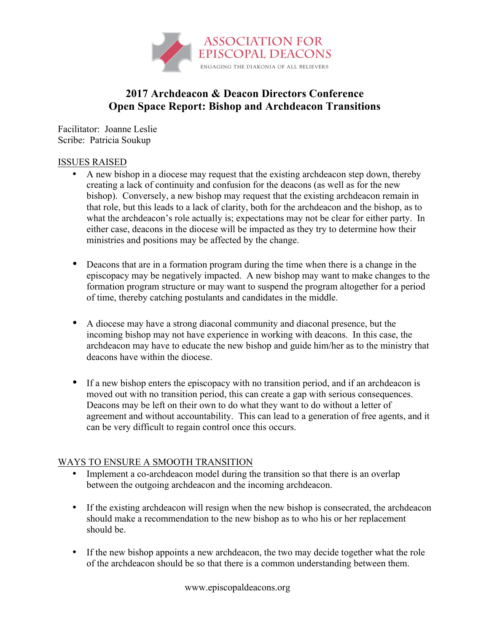

## **2017 Archdeacon & Deacon Directors Conference Open Space Report: Bishop and Archdeacon Transitions**

Facilitator: Joanne Leslie Scribe: Patricia Soukup

## ISSUES RAISED

- A new bishop in a diocese may request that the existing archdeacon step down, thereby creating a lack of continuity and confusion for the deacons (as well as for the new bishop). Conversely, a new bishop may request that the existing archdeacon remain in that role, but this leads to a lack of clarity, both for the archdeacon and the bishop, as to what the archdeacon's role actually is; expectations may not be clear for either party. In either case, deacons in the diocese will be impacted as they try to determine how their ministries and positions may be affected by the change.
- Deacons that are in a formation program during the time when there is a change in the episcopacy may be negatively impacted. A new bishop may want to make changes to the formation program structure or may want to suspend the program altogether for a period of time, thereby catching postulants and candidates in the middle.
- A diocese may have a strong diaconal community and diaconal presence, but the incoming bishop may not have experience in working with deacons. In this case, the archdeacon may have to educate the new bishop and guide him/her as to the ministry that deacons have within the diocese.
- If a new bishop enters the episcopacy with no transition period, and if an archdeacon is moved out with no transition period, this can create a gap with serious consequences. Deacons may be left on their own to do what they want to do without a letter of agreement and without accountability. This can lead to a generation of free agents, and it can be very difficult to regain control once this occurs.

## WAYS TO ENSURE A SMOOTH TRANSITION

- Implement a co-archdeacon model during the transition so that there is an overlap between the outgoing archdeacon and the incoming archdeacon.
- If the existing archdeacon will resign when the new bishop is consecrated, the archdeacon should make a recommendation to the new bishop as to who his or her replacement should be.
- If the new bishop appoints a new archdeacon, the two may decide together what the role of the archdeacon should be so that there is a common understanding between them.